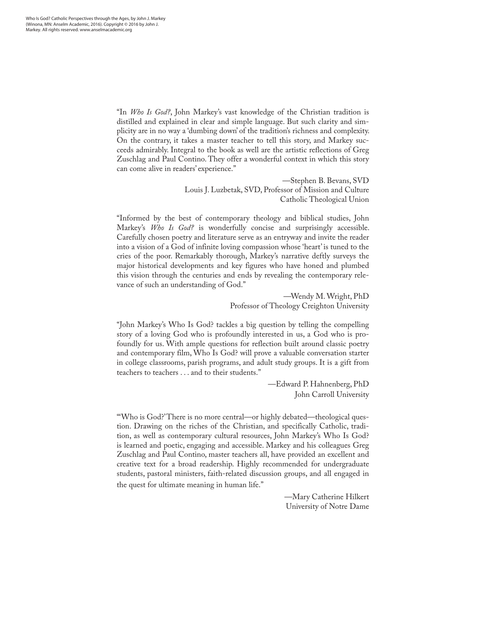"In *Who Is God?*, John Markey's vast knowledge of the Christian tradition is distilled and explained in clear and simple language. But such clarity and simplicity are in no way a 'dumbing down' of the tradition's richness and complexity. On the contrary, it takes a master teacher to tell this story, and Markey succeeds admirably. Integral to the book as well are the artistic reflections of Greg Zuschlag and Paul Contino. They offer a wonderful context in which this story can come alive in readers' experience."

> —Stephen B. Bevans, SVD Louis J. Luzbetak, SVD, Professor of Mission and Culture Catholic Theological Union

"Informed by the best of contemporary theology and biblical studies, John Markey's *Who Is God?* is wonderfully concise and surprisingly accessible. Carefully chosen poetry and literature serve as an entryway and invite the reader into a vision of a God of infinite loving compassion whose 'heart' is tuned to the cries of the poor. Remarkably thorough, Markey's narrative deftly surveys the major historical developments and key figures who have honed and plumbed this vision through the centuries and ends by revealing the contemporary relevance of such an understanding of God."

> —Wendy M. Wright, PhD Professor of Theology Creighton University

"John Markey's Who Is God? tackles a big question by telling the compelling story of a loving God who is profoundly interested in us, a God who is profoundly for us. With ample questions for reflection built around classic poetry and contemporary film, Who Is God? will prove a valuable conversation starter in college classrooms, parish programs, and adult study groups. It is a gift from teachers to teachers . . . and to their students."

> —Edward P. Hahnenberg, PhD John Carroll University

"'Who is God?' There is no more central—or highly debated—theological question. Drawing on the riches of the Christian, and specifically Catholic, tradition, as well as contemporary cultural resources, John Markey's Who Is God? is learned and poetic, engaging and accessible. Markey and his colleagues Greg Zuschlag and Paul Contino, master teachers all, have provided an excellent and creative text for a broad readership. Highly recommended for undergraduate students, pastoral ministers, faith-related discussion groups, and all engaged in the quest for ultimate meaning in human life."

> —Mary Catherine Hilkert University of Notre Dame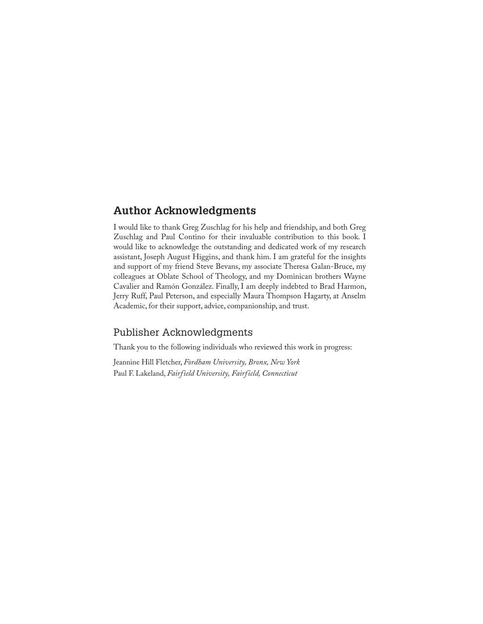## **Author Acknowledgments**

I would like to thank Greg Zuschlag for his help and friendship, and both Greg Zuschlag and Paul Contino for their invaluable contribution to this book. I would like to acknowledge the outstanding and dedicated work of my research assistant, Joseph August Higgins, and thank him. I am grateful for the insights and support of my friend Steve Bevans, my associate Theresa Galan-Bruce, my colleagues at Oblate School of Theology, and my Dominican brothers Wayne Cavalier and Ramón González. Finally, I am deeply indebted to Brad Harmon, Jerry Ruff, Paul Peterson, and especially Maura Thompson Hagarty, at Anselm Academic, for their support, advice, companionship, and trust.

## Publisher Acknowledgments

Thank you to the following individuals who reviewed this work in progress:

Jeannine Hill Fletcher, *Fordham University, Bronx, New York* Paul F. Lakeland, *Fairfield University, Fairfield, Connecticut*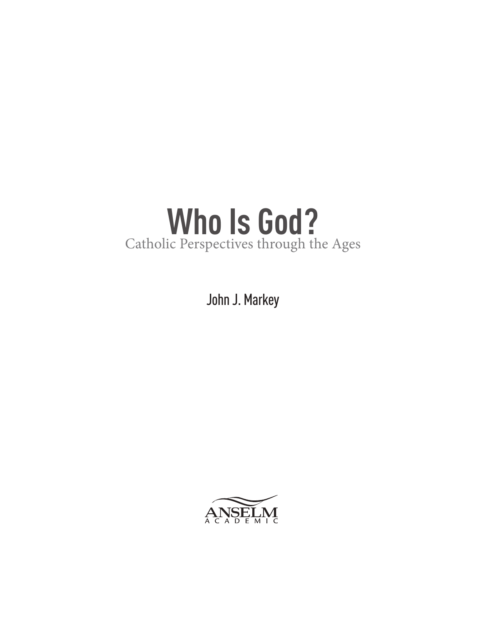# **Who Is God?** Catholic Perspectives through the Ages

John J. Markey

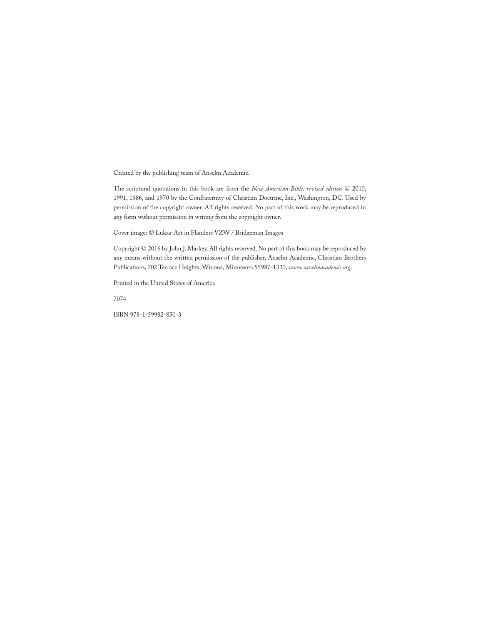Created by the publishing team of Anselm Academic.

The scriptural quotations in this book are from the *New American Bible, revised edition* © 2010, 1991, 1986, and 1970 by the Confraternity of Christian Doctrine, Inc., Washington, DC. Used by permission of the copyright owner. All rights reserved. No part of this work may be reproduced in any form without permission in writing from the copyright owner.

Cover image: © Lukas-Art in Flanders VZW / Bridgeman Images

Copyright © 2016 by John J. Markey. All rights reserved. No part of this book may be reproduced by any means without the written permission of the publisher, Anselm Academic, Christian Brothers Publications, 702 Terrace Heights, Winona, Minnesota 55987-1320, *www.anselmacademic.org*.

Printed in the United States of America

7074

ISBN 978-1-59982-850-3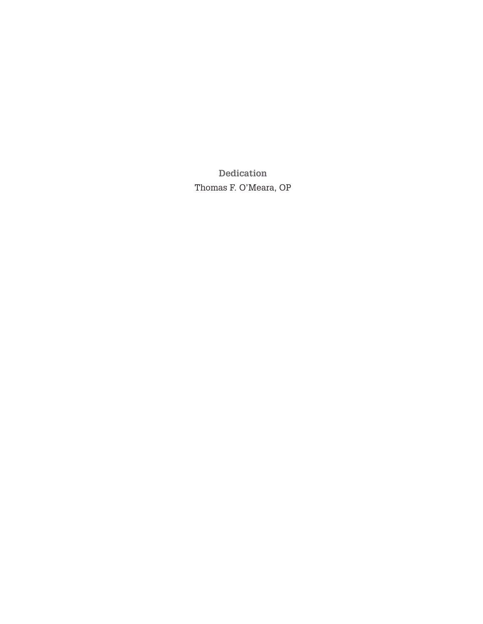**Dedication** Thomas F. O'Meara, OP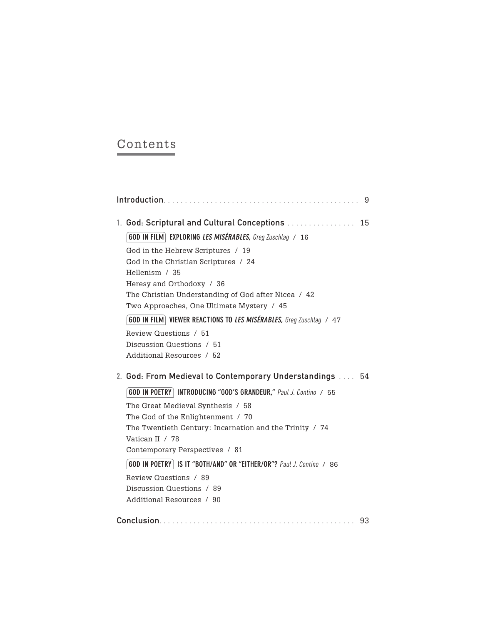## Contents

|  |                                                                              | 9  |
|--|------------------------------------------------------------------------------|----|
|  | 1. God: Scriptural and Cultural Conceptions                                  | 15 |
|  | <b>GOD IN FILM</b> EXPLORING LES MISÉRABLES, Greg Zuschlag / 16              |    |
|  | God in the Hebrew Scriptures / 19                                            |    |
|  | God in the Christian Scriptures / 24                                         |    |
|  | Hellenism / 35                                                               |    |
|  | Heresy and Orthodoxy / 36                                                    |    |
|  | The Christian Understanding of God after Nicea / 42                          |    |
|  | Two Approaches, One Ultimate Mystery / 45                                    |    |
|  | <b>GOD IN FILM</b> VIEWER REACTIONS TO LES MISÉRABLES, Greg Zuschlag / 47    |    |
|  | Review Questions / 51                                                        |    |
|  | Discussion Questions / 51                                                    |    |
|  | Additional Resources / 52                                                    |    |
|  | 2. God: From Medieval to Contemporary Understandings  54                     |    |
|  | GOD IN POETRY   INTRODUCING "GOD'S GRANDEUR," Paul J. Contino / 55           |    |
|  | The Great Medieval Synthesis / 58                                            |    |
|  | The God of the Enlightenment / 70                                            |    |
|  | The Twentieth Century: Incarnation and the Trinity / 74                      |    |
|  | Vatican II / 78                                                              |    |
|  | Contemporary Perspectives / 81                                               |    |
|  | <b>GOD IN POETRY   IS IT "BOTH/AND" OR "EITHER/OR"?</b> Paul J. Contino / 86 |    |
|  | Review Questions / 89                                                        |    |
|  | Discussion Questions / 89                                                    |    |
|  | Additional Resources / 90                                                    |    |
|  |                                                                              | 93 |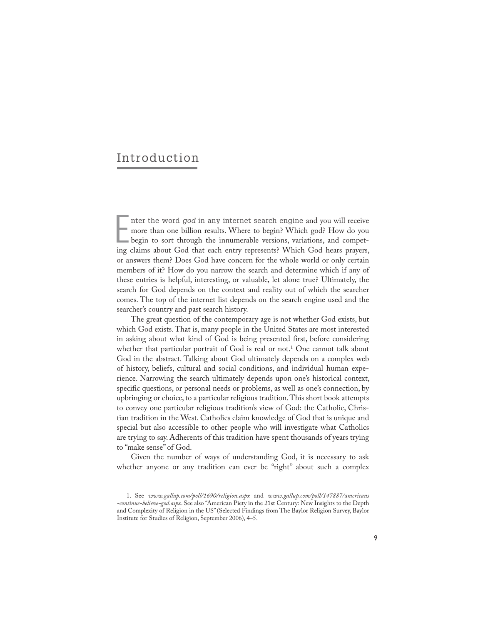## Introduction

Inter the word *god* in any internet search engine and you will receive more than one billion results. Where to begin? Which god? How do you begin to sort through the innumerable versions, variations, and competing claims nter the word *god* in any internet search engine and you will receive more than one billion results. Where to begin? Which god? How do you begin to sort through the innumerable versions, variations, and competor answers them? Does God have concern for the whole world or only certain members of it? How do you narrow the search and determine which if any of these entries is helpful, interesting, or valuable, let alone true? Ultimately, the search for God depends on the context and reality out of which the searcher comes. The top of the internet list depends on the search engine used and the searcher's country and past search history.

The great question of the contemporary age is not whether God exists, but which God exists. That is, many people in the United States are most interested in asking about what kind of God is being presented first, before considering whether that particular portrait of God is real or not.<sup>1</sup> One cannot talk about God in the abstract. Talking about God ultimately depends on a complex web of history, beliefs, cultural and social conditions, and individual human experience. Narrowing the search ultimately depends upon one's historical context, specific questions, or personal needs or problems, as well as one's connection, by upbringing or choice, to a particular religious tradition. This short book attempts to convey one particular religious tradition's view of God: the Catholic, Christian tradition in the West. Catholics claim knowledge of God that is unique and special but also accessible to other people who will investigate what Catholics are trying to say. Adherents of this tradition have spent thousands of years trying to "make sense" of God.

Given the number of ways of understanding God, it is necessary to ask whether anyone or any tradition can ever be "right" about such a complex

<sup>1.</sup> See *www.gallup.com/poll/1690/religion.aspx* and *www.gallup.com/poll/147887/americans -continue-believe-god.aspx*. See also "American Piety in the 21st Century: New Insights to the Depth and Complexity of Religion in the US" (Selected Findings from The Baylor Religion Survey, Baylor Institute for Studies of Religion, September 2006), 4–5.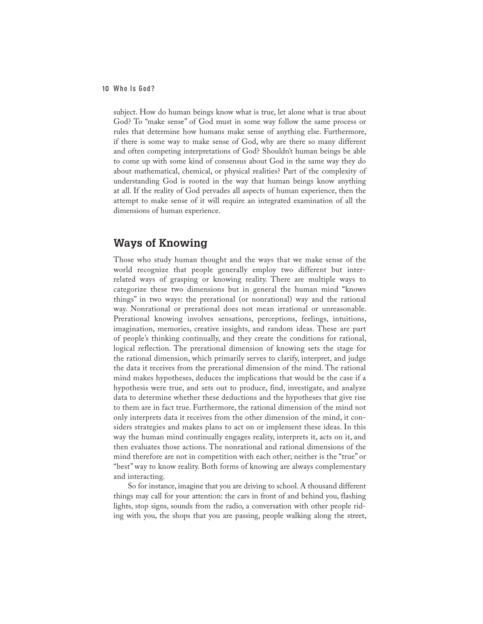subject. How do human beings know what is true, let alone what is true about God? To "make sense" of God must in some way follow the same process or rules that determine how humans make sense of anything else. Furthermore, if there is some way to make sense of God, why are there so many different and often competing interpretations of God? Shouldn't human beings be able to come up with some kind of consensus about God in the same way they do about mathematical, chemical, or physical realities? Part of the complexity of understanding God is rooted in the way that human beings know anything at all. If the reality of God pervades all aspects of human experience, then the attempt to make sense of it will require an integrated examination of all the dimensions of human experience.

## **Ways of Knowing**

Those who study human thought and the ways that we make sense of the world recognize that people generally employ two different but interrelated ways of grasping or knowing reality. There are multiple ways to categorize these two dimensions but in general the human mind "knows things" in two ways: the prerational (or nonrational) way and the rational way. Nonrational or prerational does not mean irrational or unreasonable. Prerational knowing involves sensations, perceptions, feelings, intuitions, imagination, memories, creative insights, and random ideas. These are part of people's thinking continually, and they create the conditions for rational, logical reflection. The prerational dimension of knowing sets the stage for the rational dimension, which primarily serves to clarify, interpret, and judge the data it receives from the prerational dimension of the mind. The rational mind makes hypotheses, deduces the implications that would be the case if a hypothesis were true, and sets out to produce, find, investigate, and analyze data to determine whether these deductions and the hypotheses that give rise to them are in fact true. Furthermore, the rational dimension of the mind not only interprets data it receives from the other dimension of the mind, it considers strategies and makes plans to act on or implement these ideas. In this way the human mind continually engages reality, interprets it, acts on it, and then evaluates those actions. The nonrational and rational dimensions of the mind therefore are not in competition with each other; neither is the "true" or "best" way to know reality. Both forms of knowing are always complementary and interacting.

So for instance, imagine that you are driving to school. A thousand different things may call for your attention: the cars in front of and behind you, flashing lights, stop signs, sounds from the radio, a conversation with other people riding with you, the shops that you are passing, people walking along the street,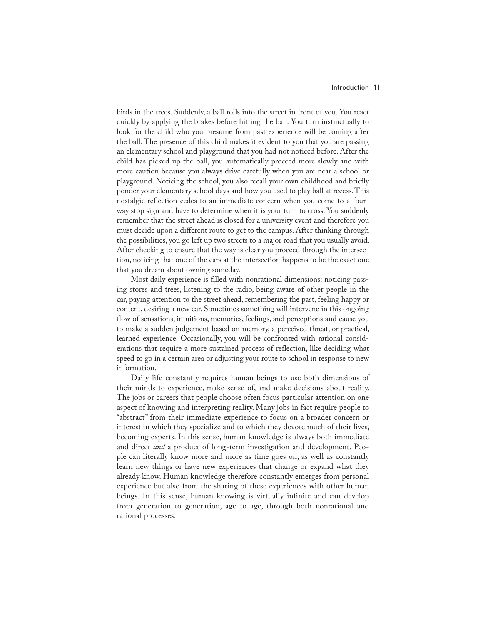#### Introduction 11

birds in the trees. Suddenly, a ball rolls into the street in front of you. You react quickly by applying the brakes before hitting the ball. You turn instinctually to look for the child who you presume from past experience will be coming after the ball. The presence of this child makes it evident to you that you are passing an elementary school and playground that you had not noticed before. After the child has picked up the ball, you automatically proceed more slowly and with more caution because you always drive carefully when you are near a school or playground. Noticing the school, you also recall your own childhood and briefly ponder your elementary school days and how you used to play ball at recess. This nostalgic reflection cedes to an immediate concern when you come to a fourway stop sign and have to determine when it is your turn to cross. You suddenly remember that the street ahead is closed for a university event and therefore you must decide upon a different route to get to the campus. After thinking through the possibilities, you go left up two streets to a major road that you usually avoid. After checking to ensure that the way is clear you proceed through the intersection, noticing that one of the cars at the intersection happens to be the exact one that you dream about owning someday.

Most daily experience is filled with nonrational dimensions: noticing passing stores and trees, listening to the radio, being aware of other people in the car, paying attention to the street ahead, remembering the past, feeling happy or content, desiring a new car. Sometimes something will intervene in this ongoing flow of sensations, intuitions, memories, feelings, and perceptions and cause you to make a sudden judgement based on memory, a perceived threat, or practical, learned experience. Occasionally, you will be confronted with rational considerations that require a more sustained process of reflection, like deciding what speed to go in a certain area or adjusting your route to school in response to new information.

Daily life constantly requires human beings to use both dimensions of their minds to experience, make sense of, and make decisions about reality. The jobs or careers that people choose often focus particular attention on one aspect of knowing and interpreting reality. Many jobs in fact require people to "abstract" from their immediate experience to focus on a broader concern or interest in which they specialize and to which they devote much of their lives, becoming experts. In this sense, human knowledge is always both immediate and direct *and* a product of long-term investigation and development. People can literally know more and more as time goes on, as well as constantly learn new things or have new experiences that change or expand what they already know. Human knowledge therefore constantly emerges from personal experience but also from the sharing of these experiences with other human beings. In this sense, human knowing is virtually infinite and can develop from generation to generation, age to age, through both nonrational and rational processes.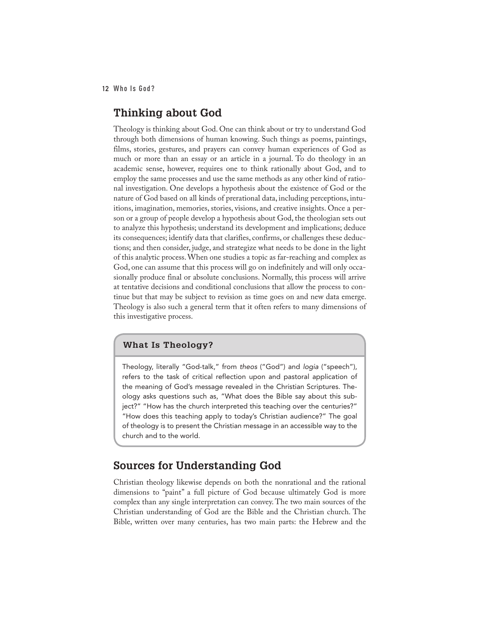## **Thinking about God**

Theology is thinking about God. One can think about or try to understand God through both dimensions of human knowing. Such things as poems, paintings, films, stories, gestures, and prayers can convey human experiences of God as much or more than an essay or an article in a journal. To do theology in an academic sense, however, requires one to think rationally about God, and to employ the same processes and use the same methods as any other kind of rational investigation. One develops a hypothesis about the existence of God or the nature of God based on all kinds of prerational data, including perceptions, intuitions, imagination, memories, stories, visions, and creative insights. Once a person or a group of people develop a hypothesis about God, the theologian sets out to analyze this hypothesis; understand its development and implications; deduce its consequences; identify data that clarifies, confirms, or challenges these deductions; and then consider, judge, and strategize what needs to be done in the light of this analytic process. When one studies a topic as far-reaching and complex as God, one can assume that this process will go on indefinitely and will only occasionally produce final or absolute conclusions. Normally, this process will arrive at tentative decisions and conditional conclusions that allow the process to continue but that may be subject to revision as time goes on and new data emerge. Theology is also such a general term that it often refers to many dimensions of this investigative process.

#### **What Is Theology?**

Theology, literally "God-talk," from *theos* ("God") and *logia* ("speech"), refers to the task of critical reflection upon and pastoral application of the meaning of God's message revealed in the Christian Scriptures. Theology asks questions such as, "What does the Bible say about this subject?" "How has the church interpreted this teaching over the centuries?" "How does this teaching apply to today's Christian audience?" The goal of theology is to present the Christian message in an accessible way to the church and to the world.

## **Sources for Understanding God**

Christian theology likewise depends on both the nonrational and the rational dimensions to "paint" a full picture of God because ultimately God is more complex than any single interpretation can convey. The two main sources of the Christian understanding of God are the Bible and the Christian church. The Bible, written over many centuries, has two main parts: the Hebrew and the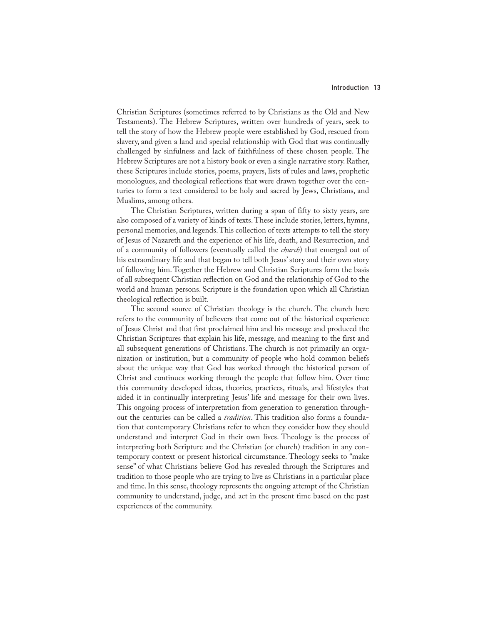Christian Scriptures (sometimes referred to by Christians as the Old and New Testaments). The Hebrew Scriptures, written over hundreds of years, seek to tell the story of how the Hebrew people were established by God, rescued from slavery, and given a land and special relationship with God that was continually challenged by sinfulness and lack of faithfulness of these chosen people. The Hebrew Scriptures are not a history book or even a single narrative story. Rather, these Scriptures include stories, poems, prayers, lists of rules and laws, prophetic monologues, and theological reflections that were drawn together over the centuries to form a text considered to be holy and sacred by Jews, Christians, and Muslims, among others.

The Christian Scriptures, written during a span of fifty to sixty years, are also composed of a variety of kinds of texts. These include stories, letters, hymns, personal memories, and legends. This collection of texts attempts to tell the story of Jesus of Nazareth and the experience of his life, death, and Resurrection, and of a community of followers (eventually called the *church*) that emerged out of his extraordinary life and that began to tell both Jesus' story and their own story of following him. Together the Hebrew and Christian Scriptures form the basis of all subsequent Christian reflection on God and the relationship of God to the world and human persons. Scripture is the foundation upon which all Christian theological reflection is built.

The second source of Christian theology is the church. The church here refers to the community of believers that come out of the historical experience of Jesus Christ and that first proclaimed him and his message and produced the Christian Scriptures that explain his life, message, and meaning to the first and all subsequent generations of Christians. The church is not primarily an organization or institution, but a community of people who hold common beliefs about the unique way that God has worked through the historical person of Christ and continues working through the people that follow him. Over time this community developed ideas, theories, practices, rituals, and lifestyles that aided it in continually interpreting Jesus' life and message for their own lives. This ongoing process of interpretation from generation to generation throughout the centuries can be called a *tradition*. This tradition also forms a foundation that contemporary Christians refer to when they consider how they should understand and interpret God in their own lives. Theology is the process of interpreting both Scripture and the Christian (or church) tradition in any contemporary context or present historical circumstance. Theology seeks to "make sense" of what Christians believe God has revealed through the Scriptures and tradition to those people who are trying to live as Christians in a particular place and time. In this sense, theology represents the ongoing attempt of the Christian community to understand, judge, and act in the present time based on the past experiences of the community.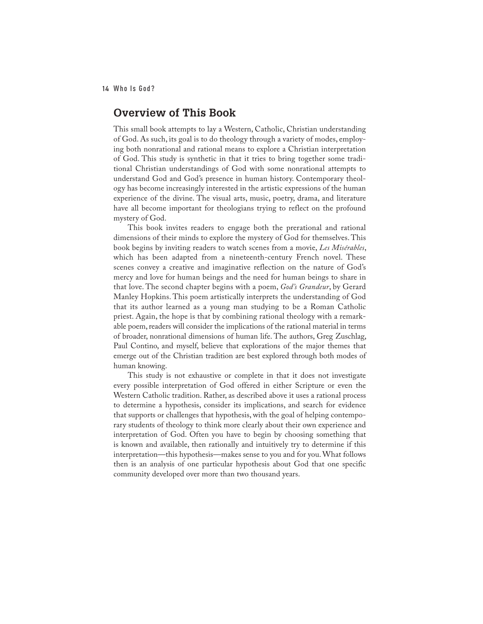## **Overview of This Book**

This small book attempts to lay a Western, Catholic, Christian understanding of God. As such, its goal is to do theology through a variety of modes, employing both nonrational and rational means to explore a Christian interpretation of God. This study is synthetic in that it tries to bring together some traditional Christian understandings of God with some nonrational attempts to understand God and God's presence in human history. Contemporary theology has become increasingly interested in the artistic expressions of the human experience of the divine. The visual arts, music, poetry, drama, and literature have all become important for theologians trying to reflect on the profound mystery of God.

This book invites readers to engage both the prerational and rational dimensions of their minds to explore the mystery of God for themselves. This book begins by inviting readers to watch scenes from a movie, *Les Misérables*, which has been adapted from a nineteenth-century French novel. These scenes convey a creative and imaginative reflection on the nature of God's mercy and love for human beings and the need for human beings to share in that love. The second chapter begins with a poem, *God's Grandeur*, by Gerard Manley Hopkins. This poem artistically interprets the understanding of God that its author learned as a young man studying to be a Roman Catholic priest. Again, the hope is that by combining rational theology with a remarkable poem, readers will consider the implications of the rational material in terms of broader, nonrational dimensions of human life. The authors, Greg Zuschlag, Paul Contino, and myself, believe that explorations of the major themes that emerge out of the Christian tradition are best explored through both modes of human knowing.

This study is not exhaustive or complete in that it does not investigate every possible interpretation of God offered in either Scripture or even the Western Catholic tradition. Rather, as described above it uses a rational process to determine a hypothesis, consider its implications, and search for evidence that supports or challenges that hypothesis, with the goal of helping contemporary students of theology to think more clearly about their own experience and interpretation of God. Often you have to begin by choosing something that is known and available, then rationally and intuitively try to determine if this interpretation—this hypothesis—makes sense to you and for you. What follows then is an analysis of one particular hypothesis about God that one specific community developed over more than two thousand years.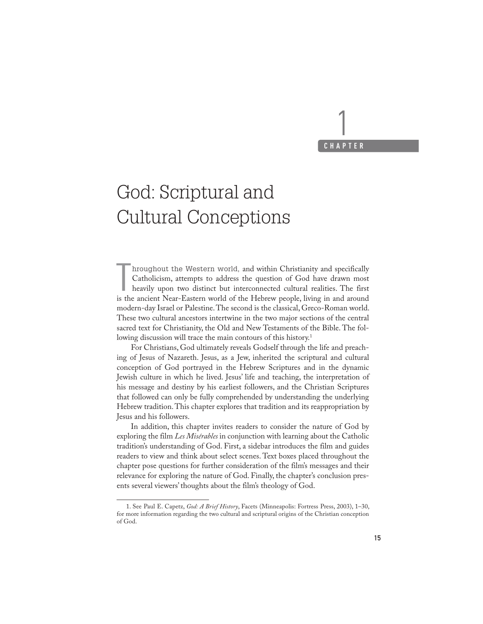## 1 **CHAPTER**

# God: Scriptural and Cultural Conceptions

Internal and within Christianity and specifically Catholicism, attempts to address the question of God have drawn most heavily upon two distinct but interconnected cultural realities. The first is the ancient Near-Eastern hroughout the Western world, and within Christianity and specifically Catholicism, attempts to address the question of God have drawn most heavily upon two distinct but interconnected cultural realities. The first modern-day Israel or Palestine. The second is the classical, Greco-Roman world. These two cultural ancestors intertwine in the two major sections of the central sacred text for Christianity, the Old and New Testaments of the Bible. The following discussion will trace the main contours of this history.<sup>1</sup>

For Christians, God ultimately reveals Godself through the life and preaching of Jesus of Nazareth. Jesus, as a Jew, inherited the scriptural and cultural conception of God portrayed in the Hebrew Scriptures and in the dynamic Jewish culture in which he lived. Jesus' life and teaching, the interpretation of his message and destiny by his earliest followers, and the Christian Scriptures that followed can only be fully comprehended by understanding the underlying Hebrew tradition. This chapter explores that tradition and its reappropriation by Jesus and his followers.

In addition, this chapter invites readers to consider the nature of God by exploring the film *Les Misérables* in conjunction with learning about the Catholic tradition's understanding of God. First, a sidebar introduces the film and guides readers to view and think about select scenes. Text boxes placed throughout the chapter pose questions for further consideration of the film's messages and their relevance for exploring the nature of God. Finally, the chapter's conclusion presents several viewers' thoughts about the film's theology of God.

<sup>1.</sup> See Paul E. Capetz, *God: A Brief History*, Facets (Minneapolis: Fortress Press, 2003), 1–30, for more information regarding the two cultural and scriptural origins of the Christian conception of God.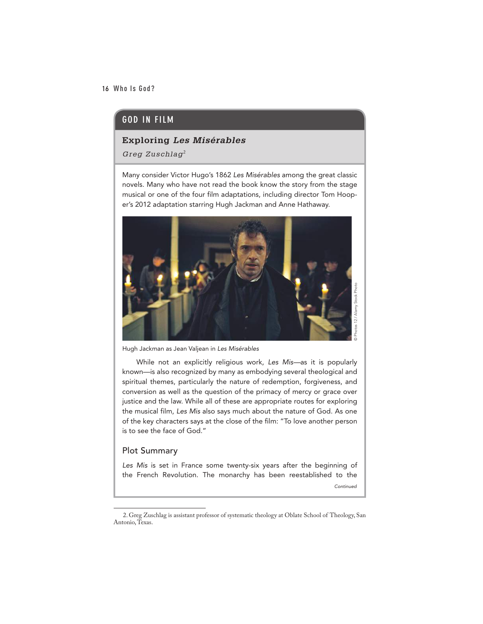## GOD IN FILM

#### **Exploring** *Les Misérables*

*Greg Zuschlag*<sup>2</sup>

Many consider Victor Hugo's 1862 *Les Misérables* among the great classic novels. Many who have not read the book know the story from the stage musical or one of the four film adaptations, including director Tom Hooper's 2012 adaptation starring Hugh Jackman and Anne Hathaway.



Hugh Jackman as Jean Valjean in *Les Misérables*

While not an explicitly religious work, *Les Mis—*as it is popularly known—is also recognized by many as embodying several theological and spiritual themes, particularly the nature of redemption, forgiveness, and conversion as well as the question of the primacy of mercy or grace over justice and the law. While all of these are appropriate routes for exploring the musical film, *Les Mis* also says much about the nature of God. As one of the key characters says at the close of the film: "To love another person is to see the face of God."

### Plot Summary

*Les Mis* is set in France some twenty-six years after the beginning of the French Revolution. The monarchy has been reestablished to the

*Continued*

<sup>2.</sup> Greg Zuschlag is assistant professor of systematic theology at Oblate School of Theology, San Antonio, Texas.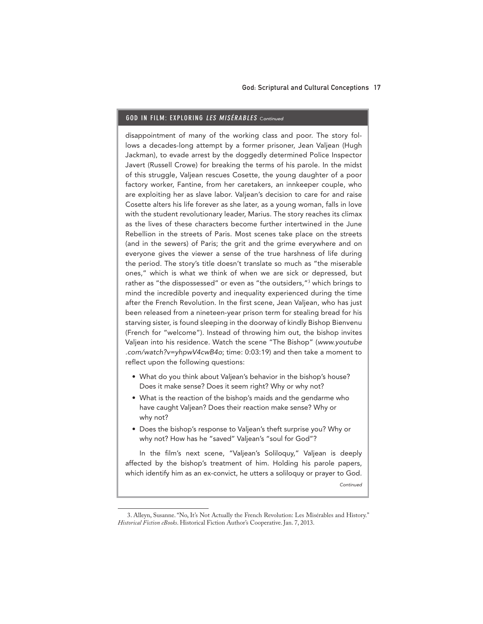#### GOD IN FILM: EXPLORING LES MISÉRABLES <sup>C</sup>*ontinued*

disappointment of many of the working class and poor. The story follows a decades-long attempt by a former prisoner, Jean Valjean (Hugh Jackman), to evade arrest by the doggedly determined Police Inspector Javert (Russell Crowe) for breaking the terms of his parole. In the midst of this struggle, Valjean rescues Cosette, the young daughter of a poor factory worker, Fantine, from her caretakers, an innkeeper couple, who are exploiting her as slave labor. Valjean's decision to care for and raise Cosette alters his life forever as she later, as a young woman, falls in love with the student revolutionary leader, Marius. The story reaches its climax as the lives of these characters become further intertwined in the June Rebellion in the streets of Paris. Most scenes take place on the streets (and in the sewers) of Paris; the grit and the grime everywhere and on everyone gives the viewer a sense of the true harshness of life during the period. The story's title doesn't translate so much as "the miserable ones," which is what we think of when we are sick or depressed, but rather as "the dispossessed" or even as "the outsiders,"<sup>3</sup> which brings to mind the incredible poverty and inequality experienced during the time after the French Revolution. In the first scene, Jean Valjean, who has just been released from a nineteen-year prison term for stealing bread for his starving sister, is found sleeping in the doorway of kindly Bishop Bienvenu (French for "welcome"). Instead of throwing him out, the bishop invites Valjean into his residence. Watch the scene "The Bishop" (*www.youtube .com/watch?v=yhpwV4cwB4o*; time: 0:03:19) and then take a moment to reflect upon the following questions:

- What do you think about Valjean's behavior in the bishop's house? Does it make sense? Does it seem right? Why or why not?
- What is the reaction of the bishop's maids and the gendarme who have caught Valjean? Does their reaction make sense? Why or why not?
- Does the bishop's response to Valjean's theft surprise you? Why or why not? How has he "saved" Valjean's "soul for God"?

In the film's next scene, "Valjean's Soliloquy," Valjean is deeply affected by the bishop's treatment of him. Holding his parole papers, which identify him as an ex-convict, he utters a soliloquy or prayer to God.

*Continued*

<sup>3.</sup> Alleyn, Susanne. "No, It's Not Actually the French Revolution: Les Misérables and History." *Historical Fiction eBooks*. Historical Fiction Author's Cooperative. Jan. 7, 2013.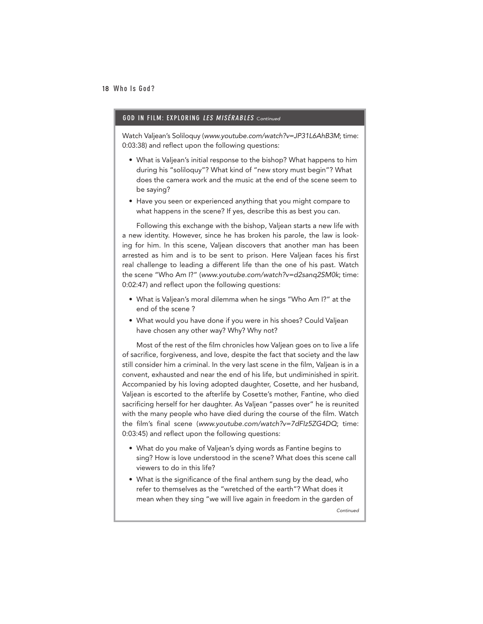#### GOD IN FILM: EXPLORING LES MISÉRABLES <sup>C</sup>*ontinued*

Watch Valjean's Soliloquy (*www.youtube.com/watch?v=JP31L6AhB3M*; time: 0:03:38) and reflect upon the following questions:

- What is Valjean's initial response to the bishop? What happens to him during his "soliloquy"? What kind of "new story must begin"? What does the camera work and the music at the end of the scene seem to be saying?
- Have you seen or experienced anything that you might compare to what happens in the scene? If yes, describe this as best you can.

Following this exchange with the bishop, Valjean starts a new life with a new identity. However, since he has broken his parole, the law is looking for him. In this scene, Valjean discovers that another man has been arrested as him and is to be sent to prison. Here Valjean faces his first real challenge to leading a different life than the one of his past. Watch the scene "Who Am I?" (*www.youtube.com/watch?v=d2sanq2SM0k*; time: 0:02:47) and reflect upon the following questions:

- What is Valjean's moral dilemma when he sings "Who Am I?" at the end of the scene ?
- What would you have done if you were in his shoes? Could Valjean have chosen any other way? Why? Why not?

Most of the rest of the film chronicles how Valjean goes on to live a life of sacrifice, forgiveness, and love, despite the fact that society and the law still consider him a criminal. In the very last scene in the film, Valjean is in a convent, exhausted and near the end of his life, but undiminished in spirit. Accompanied by his loving adopted daughter, Cosette, and her husband, Valjean is escorted to the afterlife by Cosette's mother, Fantine, who died sacrificing herself for her daughter. As Valjean "passes over" he is reunited with the many people who have died during the course of the film. Watch the film's final scene (*www.youtube.com/watch?v=7dFIz5ZG4DQ*; time: 0:03:45) and reflect upon the following questions:

- What do you make of Valjean's dying words as Fantine begins to sing? How is love understood in the scene? What does this scene call viewers to do in this life?
- What is the significance of the final anthem sung by the dead, who refer to themselves as the "wretched of the earth"? What does it mean when they sing "we will live again in freedom in the garden of

*Continued*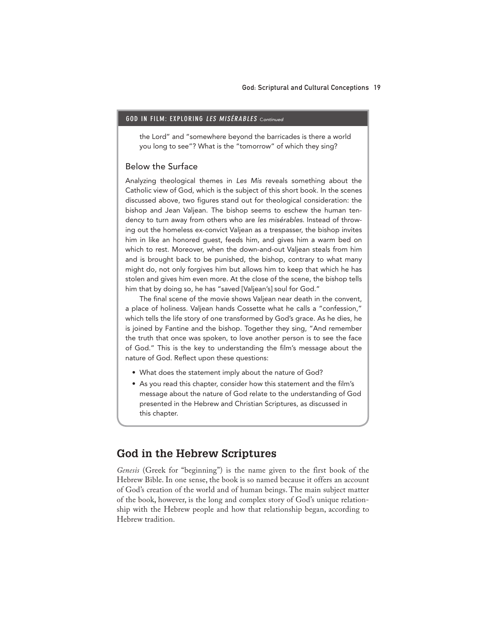#### GOD IN FILM: EXPLORING LES MISÉRABLES Continued

the Lord" and "somewhere beyond the barricades is there a world you long to see"? What is the "tomorrow" of which they sing?

#### Below the Surface

Analyzing theological themes in *Les Mis* reveals something about the Catholic view of God, which is the subject of this short book. In the scenes discussed above, two figures stand out for theological consideration: the bishop and Jean Valjean. The bishop seems to eschew the human tendency to turn away from others who are *les misérables*. Instead of throwing out the homeless ex-convict Valjean as a trespasser, the bishop invites him in like an honored guest, feeds him, and gives him a warm bed on which to rest. Moreover, when the down-and-out Valjean steals from him and is brought back to be punished, the bishop, contrary to what many might do, not only forgives him but allows him to keep that which he has stolen and gives him even more. At the close of the scene, the bishop tells him that by doing so, he has "saved [Valjean's] soul for God."

The final scene of the movie shows Valjean near death in the convent, a place of holiness. Valjean hands Cossette what he calls a "confession," which tells the life story of one transformed by God's grace. As he dies, he is joined by Fantine and the bishop. Together they sing, "And remember the truth that once was spoken, to love another person is to see the face of God." This is the key to understanding the film's message about the nature of God. Reflect upon these questions:

- What does the statement imply about the nature of God?
- As you read this chapter, consider how this statement and the film's message about the nature of God relate to the understanding of God presented in the Hebrew and Christian Scriptures, as discussed in this chapter.

## **God in the Hebrew Scriptures**

*Genesis* (Greek for "beginning") is the name given to the first book of the Hebrew Bible. In one sense, the book is so named because it offers an account of God's creation of the world and of human beings. The main subject matter of the book, however, is the long and complex story of God's unique relationship with the Hebrew people and how that relationship began, according to Hebrew tradition.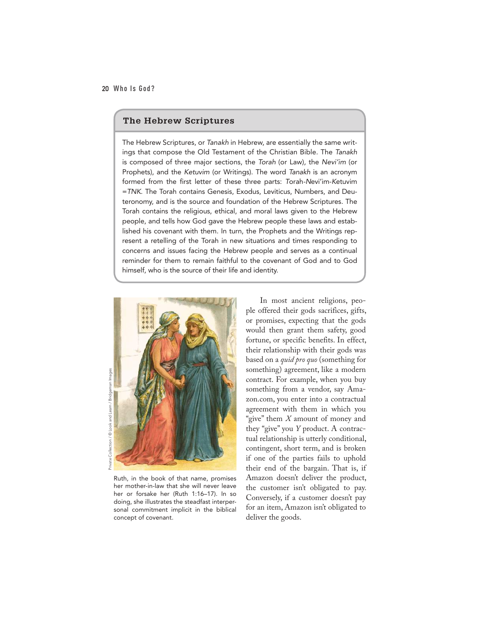#### **The Hebrew Scriptures**

The Hebrew Scriptures, or *Tanakh* in Hebrew, are essentially the same writings that compose the Old Testament of the Christian Bible. The *Tanakh* is composed of three major sections, the *Torah* (or Law)*,* the *Nevi'im* (or Prophets), and the *Ketuvim* (or Writings). The word *Tanakh* is an acronym formed from the first letter of these three parts: *T*orah*-N*evi'im-*K*etuvim =*TNK*. The Torah contains Genesis, Exodus, Leviticus, Numbers, and Deuteronomy, and is the source and foundation of the Hebrew Scriptures. The Torah contains the religious, ethical, and moral laws given to the Hebrew people, and tells how God gave the Hebrew people these laws and established his covenant with them. In turn, the Prophets and the Writings represent a retelling of the Torah in new situations and times responding to concerns and issues facing the Hebrew people and serves as a continual reminder for them to remain faithful to the covenant of God and to God himself, who is the source of their life and identity.



Ruth, in the book of that name, promises her mother-in-law that she will never leave her or forsake her (Ruth 1:16–17). In so doing, she illustrates the steadfast interpersonal commitment implicit in the biblical concept of covenant.

In most ancient religions, people offered their gods sacrifices, gifts, or promises, expecting that the gods would then grant them safety, good fortune, or specific benefits. In effect, their relationship with their gods was based on a *quid pro quo* (something for something) agreement, like a modern contract. For example, when you buy something from a vendor, say Amazon.com, you enter into a contractual agreement with them in which you "give" them *X* amount of money and they "give" you *Y* product. A contractual relationship is utterly conditional, contingent, short term, and is broken if one of the parties fails to uphold their end of the bargain. That is, if Amazon doesn't deliver the product, the customer isn't obligated to pay. Conversely, if a customer doesn't pay for an item, Amazon isn't obligated to deliver the goods.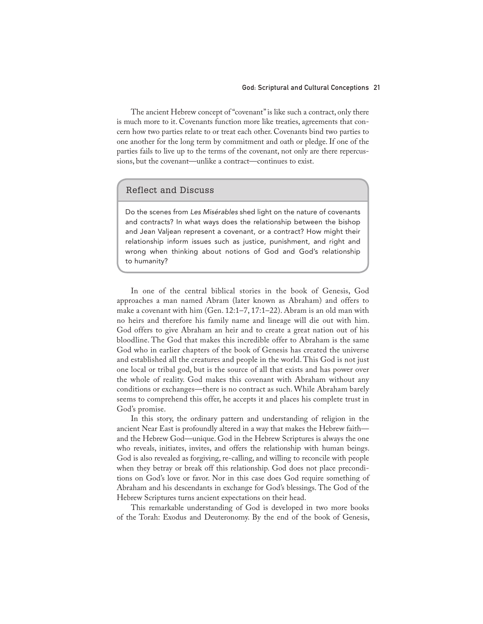#### God: Scriptural and Cultural Conceptions 21

The ancient Hebrew concept of "covenant" is like such a contract, only there is much more to it. Covenants function more like treaties, agreements that concern how two parties relate to or treat each other. Covenants bind two parties to one another for the long term by commitment and oath or pledge. If one of the parties fails to live up to the terms of the covenant, not only are there repercussions, but the covenant—unlike a contract—continues to exist.

## Reflect and Discuss

Do the scenes from *Les Misérables* shed light on the nature of covenants and contracts? In what ways does the relationship between the bishop and Jean Valjean represent a covenant, or a contract? How might their relationship inform issues such as justice, punishment, and right and wrong when thinking about notions of God and God's relationship to humanity?

In one of the central biblical stories in the book of Genesis, God approaches a man named Abram (later known as Abraham) and offers to make a covenant with him (Gen. 12:1–7, 17:1–22). Abram is an old man with no heirs and therefore his family name and lineage will die out with him. God offers to give Abraham an heir and to create a great nation out of his bloodline. The God that makes this incredible offer to Abraham is the same God who in earlier chapters of the book of Genesis has created the universe and established all the creatures and people in the world. This God is not just one local or tribal god, but is the source of all that exists and has power over the whole of reality. God makes this covenant with Abraham without any conditions or exchanges—there is no contract as such. While Abraham barely seems to comprehend this offer, he accepts it and places his complete trust in God's promise.

In this story, the ordinary pattern and understanding of religion in the ancient Near East is profoundly altered in a way that makes the Hebrew faith and the Hebrew God—unique. God in the Hebrew Scriptures is always the one who reveals, initiates, invites, and offers the relationship with human beings. God is also revealed as forgiving, re-calling, and willing to reconcile with people when they betray or break off this relationship. God does not place preconditions on God's love or favor. Nor in this case does God require something of Abraham and his descendants in exchange for God's blessings. The God of the Hebrew Scriptures turns ancient expectations on their head.

This remarkable understanding of God is developed in two more books of the Torah: Exodus and Deuteronomy. By the end of the book of Genesis,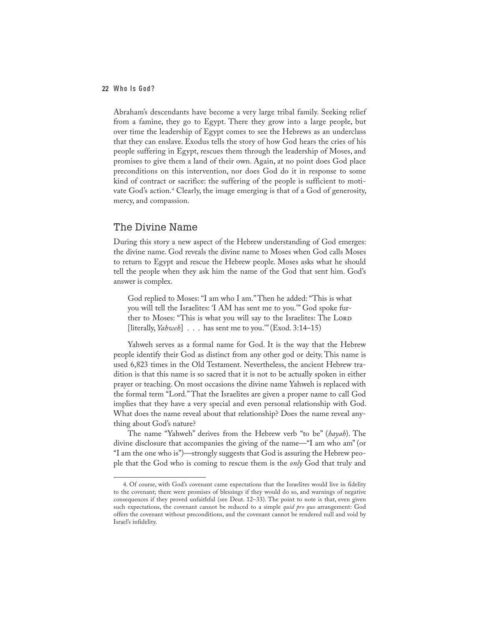Abraham's descendants have become a very large tribal family. Seeking relief from a famine, they go to Egypt. There they grow into a large people, but over time the leadership of Egypt comes to see the Hebrews as an underclass that they can enslave. Exodus tells the story of how God hears the cries of his people suffering in Egypt, rescues them through the leadership of Moses, and promises to give them a land of their own. Again, at no point does God place preconditions on this intervention, nor does God do it in response to some kind of contract or sacrifice: the suffering of the people is sufficient to motivate God's action.<sup>4</sup> Clearly, the image emerging is that of a God of generosity, mercy, and compassion.

### The Divine Name

During this story a new aspect of the Hebrew understanding of God emerges: the divine name. God reveals the divine name to Moses when God calls Moses to return to Egypt and rescue the Hebrew people. Moses asks what he should tell the people when they ask him the name of the God that sent him. God's answer is complex.

God replied to Moses: "I am who I am." Then he added: "This is what you will tell the Israelites: 'I AM has sent me to you.'" God spoke further to Moses: "This is what you will say to the Israelites: The LORD [literally, *Yahweh*] . . . has sent me to you."" (Exod. 3:14–15)

Yahweh serves as a formal name for God. It is the way that the Hebrew people identify their God as distinct from any other god or deity. This name is used 6,823 times in the Old Testament. Nevertheless, the ancient Hebrew tradition is that this name is so sacred that it is not to be actually spoken in either prayer or teaching. On most occasions the divine name Yahweh is replaced with the formal term "Lord." That the Israelites are given a proper name to call God implies that they have a very special and even personal relationship with God. What does the name reveal about that relationship? Does the name reveal anything about God's nature?

The name "Yahweh" derives from the Hebrew verb "to be" (*hayah*). The divine disclosure that accompanies the giving of the name—"I am who am" (or "I am the one who is")—strongly suggests that God is assuring the Hebrew people that the God who is coming to rescue them is the *only* God that truly and

<sup>4.</sup> Of course, with God's covenant came expectations that the Israelites would live in fidelity to the covenant; there were promises of blessings if they would do so, and warnings of negative consequences if they proved unfaithful (see Deut. 12–33). The point to note is that, even given such expectations, the covenant cannot be reduced to a simple *quid pro quo* arrangement: God offers the covenant without preconditions, and the covenant cannot be rendered null and void by Israel's infidelity.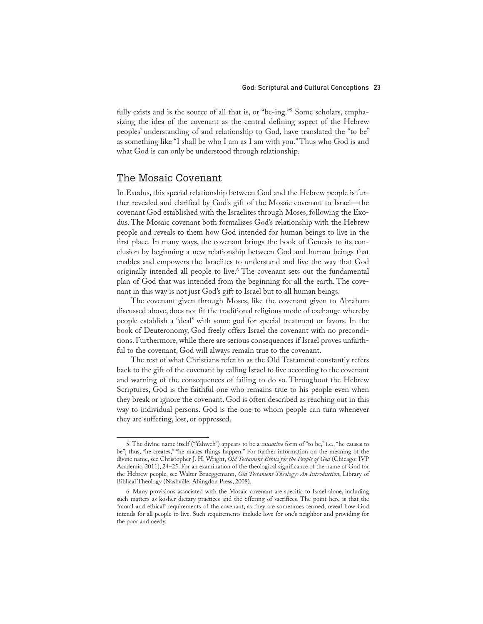fully exists and is the source of all that is, or "be-ing."5 Some scholars, emphasizing the idea of the covenant as the central defining aspect of the Hebrew peoples' understanding of and relationship to God, have translated the "to be" as something like "I shall be who I am as I am with you." Thus who God is and what God is can only be understood through relationship.

## The Mosaic Covenant

In Exodus, this special relationship between God and the Hebrew people is further revealed and clarified by God's gift of the Mosaic covenant to Israel—the covenant God established with the Israelites through Moses, following the Exodus. The Mosaic covenant both formalizes God's relationship with the Hebrew people and reveals to them how God intended for human beings to live in the first place. In many ways, the covenant brings the book of Genesis to its conclusion by beginning a new relationship between God and human beings that enables and empowers the Israelites to understand and live the way that God originally intended all people to live.6 The covenant sets out the fundamental plan of God that was intended from the beginning for all the earth. The covenant in this way is not just God's gift to Israel but to all human beings.

The covenant given through Moses, like the covenant given to Abraham discussed above, does not fit the traditional religious mode of exchange whereby people establish a "deal" with some god for special treatment or favors. In the book of Deuteronomy, God freely offers Israel the covenant with no preconditions. Furthermore, while there are serious consequences if Israel proves unfaithful to the covenant, God will always remain true to the covenant.

The rest of what Christians refer to as the Old Testament constantly refers back to the gift of the covenant by calling Israel to live according to the covenant and warning of the consequences of failing to do so. Throughout the Hebrew Scriptures, God is the faithful one who remains true to his people even when they break or ignore the covenant. God is often described as reaching out in this way to individual persons. God is the one to whom people can turn whenever they are suffering, lost, or oppressed.

<sup>5.</sup> The divine name itself ("Yahweh") appears to be a *causative* form of "to be," i.e., "he causes to be"; thus, "he creates," "he makes things happen." For further information on the meaning of the divine name, see Christopher J. H. Wright, *Old Testament Ethics for the People of God* (Chicago: IVP Academic, 2011), 24–25. For an examination of the theological significance of the name of God for the Hebrew people, see Walter Brueggemann, *Old Testament Theology: An Introduction*, Library of Biblical Theology (Nashville: Abingdon Press, 2008).

<sup>6.</sup> Many provisions associated with the Mosaic covenant are specific to Israel alone, including such matters as kosher dietary practices and the offering of sacrifices. The point here is that the "moral and ethical" requirements of the covenant, as they are sometimes termed, reveal how God intends for all people to live. Such requirements include love for one's neighbor and providing for the poor and needy.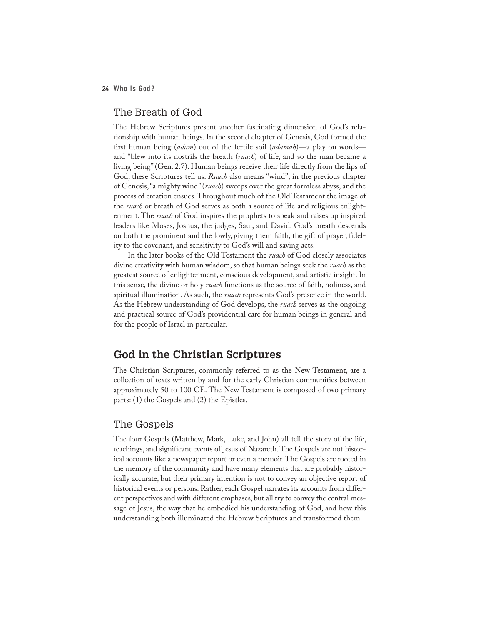## The Breath of God

The Hebrew Scriptures present another fascinating dimension of God's relationship with human beings. In the second chapter of Genesis, God formed the first human being (*adam*) out of the fertile soil (*adamah*)—a play on words and "blew into its nostrils the breath (*ruach*) of life, and so the man became a living being" (Gen. 2:7). Human beings receive their life directly from the lips of God, these Scriptures tell us. *Ruach* also means "wind"; in the previous chapter of Genesis, "a mighty wind" (*ruach*) sweeps over the great formless abyss, and the process of creation ensues. Throughout much of the Old Testament the image of the *ruach* or breath of God serves as both a source of life and religious enlightenment. The *ruach* of God inspires the prophets to speak and raises up inspired leaders like Moses, Joshua, the judges, Saul, and David. God's breath descends on both the prominent and the lowly, giving them faith, the gift of prayer, fidelity to the covenant, and sensitivity to God's will and saving acts.

In the later books of the Old Testament the *ruach* of God closely associates divine creativity with human wisdom, so that human beings seek the *ruach* as the greatest source of enlightenment, conscious development, and artistic insight. In this sense, the divine or holy *ruach* functions as the source of faith, holiness, and spiritual illumination. As such, the *ruach* represents God's presence in the world. As the Hebrew understanding of God develops, the *ruach* serves as the ongoing and practical source of God's providential care for human beings in general and for the people of Israel in particular.

## **God in the Christian Scriptures**

The Christian Scriptures, commonly referred to as the New Testament, are a collection of texts written by and for the early Christian communities between approximately 50 to 100 CE. The New Testament is composed of two primary parts: (1) the Gospels and (2) the Epistles.

## The Gospels

The four Gospels (Matthew, Mark, Luke, and John) all tell the story of the life, teachings, and significant events of Jesus of Nazareth. The Gospels are not historical accounts like a newspaper report or even a memoir. The Gospels are rooted in the memory of the community and have many elements that are probably historically accurate, but their primary intention is not to convey an objective report of historical events or persons. Rather, each Gospel narrates its accounts from different perspectives and with different emphases, but all try to convey the central message of Jesus, the way that he embodied his understanding of God, and how this understanding both illuminated the Hebrew Scriptures and transformed them.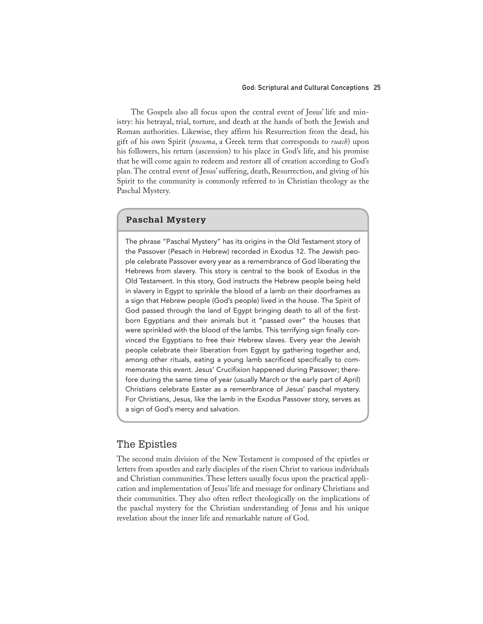#### God: Scriptural and Cultural Conceptions 25

The Gospels also all focus upon the central event of Jesus' life and ministry: his betrayal, trial, torture, and death at the hands of both the Jewish and Roman authorities. Likewise, they affirm his Resurrection from the dead, his gift of his own Spirit (*pneuma*, a Greek term that corresponds to *ruach*) upon his followers, his return (ascension) to his place in God's life, and his promise that he will come again to redeem and restore all of creation according to God's plan. The central event of Jesus' suffering, death, Resurrection, and giving of his Spirit to the community is commonly referred to in Christian theology as the Paschal Mystery.

#### **Paschal Mystery**

The phrase "Paschal Mystery" has its origins in the Old Testament story of the Passover (*Pesach* in Hebrew) recorded in Exodus 12. The Jewish people celebrate Passover every year as a remembrance of God liberating the Hebrews from slavery. This story is central to the book of Exodus in the Old Testament. In this story, God instructs the Hebrew people being held in slavery in Egypt to sprinkle the blood of a lamb on their doorframes as a sign that Hebrew people (God's people) lived in the house. The Spirit of God passed through the land of Egypt bringing death to all of the firstborn Egyptians and their animals but it "passed over" the houses that were sprinkled with the blood of the lambs. This terrifying sign finally convinced the Egyptians to free their Hebrew slaves. Every year the Jewish people celebrate their liberation from Egypt by gathering together and, among other rituals, eating a young lamb sacrificed specifically to commemorate this event. Jesus' Crucifixion happened during Passover; therefore during the same time of year (usually March or the early part of April) Christians celebrate Easter as a remembrance of Jesus' paschal mystery. For Christians, Jesus, like the lamb in the Exodus Passover story, serves as a sign of God's mercy and salvation.

### The Epistles

The second main division of the New Testament is composed of the epistles or letters from apostles and early disciples of the risen Christ to various individuals and Christian communities. These letters usually focus upon the practical application and implementation of Jesus' life and message for ordinary Christians and their communities. They also often reflect theologically on the implications of the paschal mystery for the Christian understanding of Jesus and his unique revelation about the inner life and remarkable nature of God.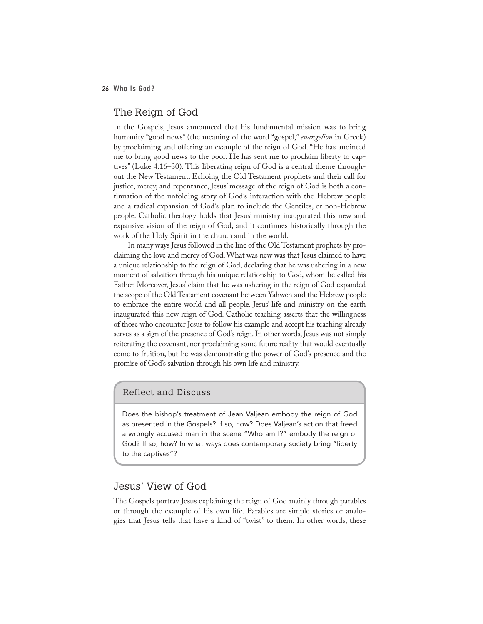## The Reign of God

In the Gospels, Jesus announced that his fundamental mission was to bring humanity "good news" (the meaning of the word "gospel," *euangelion* in Greek) by proclaiming and offering an example of the reign of God. "He has anointed me to bring good news to the poor. He has sent me to proclaim liberty to captives" (Luke 4:16–30). This liberating reign of God is a central theme throughout the New Testament. Echoing the Old Testament prophets and their call for justice, mercy, and repentance, Jesus' message of the reign of God is both a continuation of the unfolding story of God's interaction with the Hebrew people and a radical expansion of God's plan to include the Gentiles, or non-Hebrew people. Catholic theology holds that Jesus' ministry inaugurated this new and expansive vision of the reign of God, and it continues historically through the work of the Holy Spirit in the church and in the world.

In many ways Jesus followed in the line of the Old Testament prophets by proclaiming the love and mercy of God. What was new was that Jesus claimed to have a unique relationship to the reign of God, declaring that he was ushering in a new moment of salvation through his unique relationship to God, whom he called his Father. Moreover, Jesus' claim that he was ushering in the reign of God expanded the scope of the Old Testament covenant between Yahweh and the Hebrew people to embrace the entire world and all people. Jesus' life and ministry on the earth inaugurated this new reign of God. Catholic teaching asserts that the willingness of those who encounter Jesus to follow his example and accept his teaching already serves as a sign of the presence of God's reign. In other words, Jesus was not simply reiterating the covenant, nor proclaiming some future reality that would eventually come to fruition, but he was demonstrating the power of God's presence and the promise of God's salvation through his own life and ministry.

Reflect and Discuss

Does the bishop's treatment of Jean Valjean embody the reign of God as presented in the Gospels? If so, how? Does Valjean's action that freed a wrongly accused man in the scene "Who am I?" embody the reign of God? If so, how? In what ways does contemporary society bring "liberty to the captives"?

## Jesus' View of God

The Gospels portray Jesus explaining the reign of God mainly through parables or through the example of his own life. Parables are simple stories or analogies that Jesus tells that have a kind of "twist" to them. In other words, these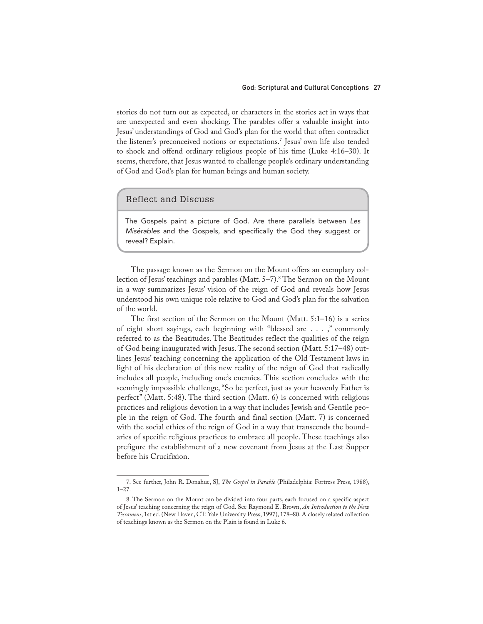#### God: Scriptural and Cultural Conceptions 27

stories do not turn out as expected, or characters in the stories act in ways that are unexpected and even shocking. The parables offer a valuable insight into Jesus' understandings of God and God's plan for the world that often contradict the listener's preconceived notions or expectations.7 Jesus' own life also tended to shock and offend ordinary religious people of his time (Luke 4:16–30). It seems, therefore, that Jesus wanted to challenge people's ordinary understanding of God and God's plan for human beings and human society.

#### Reflect and Discuss

The Gospels paint a picture of God. Are there parallels between *Les Misérables* and the Gospels, and specifically the God they suggest or reveal? Explain.

The passage known as the Sermon on the Mount offers an exemplary collection of Jesus' teachings and parables (Matt. 5–7).<sup>8</sup> The Sermon on the Mount in a way summarizes Jesus' vision of the reign of God and reveals how Jesus understood his own unique role relative to God and God's plan for the salvation of the world.

The first section of the Sermon on the Mount (Matt. 5:1–16) is a series of eight short sayings, each beginning with "blessed are . . . ," commonly referred to as the Beatitudes. The Beatitudes reflect the qualities of the reign of God being inaugurated with Jesus. The second section (Matt. 5:17–48) outlines Jesus' teaching concerning the application of the Old Testament laws in light of his declaration of this new reality of the reign of God that radically includes all people, including one's enemies. This section concludes with the seemingly impossible challenge, "So be perfect, just as your heavenly Father is perfect" (Matt. 5:48). The third section (Matt. 6) is concerned with religious practices and religious devotion in a way that includes Jewish and Gentile people in the reign of God. The fourth and final section (Matt. 7) is concerned with the social ethics of the reign of God in a way that transcends the boundaries of specific religious practices to embrace all people. These teachings also prefigure the establishment of a new covenant from Jesus at the Last Supper before his Crucifixion.

<sup>7.</sup> See further, John R. Donahue, SJ, *The Gospel in Parable* (Philadelphia: Fortress Press, 1988), 1–27.

<sup>8.</sup> The Sermon on the Mount can be divided into four parts, each focused on a specific aspect of Jesus' teaching concerning the reign of God. See Raymond E. Brown, *An Introduction to the New Testament*, 1st ed. (New Haven, CT: Yale University Press, 1997), 178–80. A closely related collection of teachings known as the Sermon on the Plain is found in Luke 6.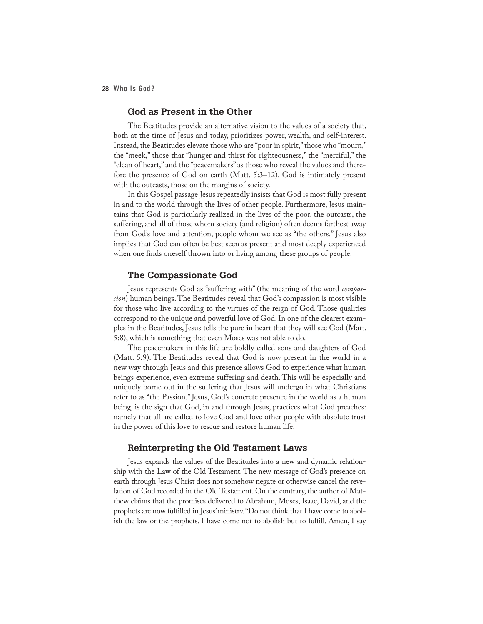#### **God as Present in the Other**

The Beatitudes provide an alternative vision to the values of a society that, both at the time of Jesus and today, prioritizes power, wealth, and self-interest. Instead, the Beatitudes elevate those who are "poor in spirit," those who "mourn," the "meek," those that "hunger and thirst for righteousness," the "merciful," the "clean of heart," and the "peacemakers" as those who reveal the values and therefore the presence of God on earth (Matt. 5:3–12). God is intimately present with the outcasts, those on the margins of society.

In this Gospel passage Jesus repeatedly insists that God is most fully present in and to the world through the lives of other people. Furthermore, Jesus maintains that God is particularly realized in the lives of the poor, the outcasts, the suffering, and all of those whom society (and religion) often deems farthest away from God's love and attention, people whom we see as "the others." Jesus also implies that God can often be best seen as present and most deeply experienced when one finds oneself thrown into or living among these groups of people.

#### **The Compassionate God**

Jesus represents God as "suffering with" (the meaning of the word *compassion*) human beings. The Beatitudes reveal that God's compassion is most visible for those who live according to the virtues of the reign of God. Those qualities correspond to the unique and powerful love of God. In one of the clearest examples in the Beatitudes, Jesus tells the pure in heart that they will see God (Matt. 5:8), which is something that even Moses was not able to do.

The peacemakers in this life are boldly called sons and daughters of God (Matt. 5:9). The Beatitudes reveal that God is now present in the world in a new way through Jesus and this presence allows God to experience what human beings experience, even extreme suffering and death. This will be especially and uniquely borne out in the suffering that Jesus will undergo in what Christians refer to as "the Passion." Jesus, God's concrete presence in the world as a human being, is the sign that God, in and through Jesus, practices what God preaches: namely that all are called to love God and love other people with absolute trust in the power of this love to rescue and restore human life.

#### **Reinterpreting the Old Testament Laws**

Jesus expands the values of the Beatitudes into a new and dynamic relationship with the Law of the Old Testament. The new message of God's presence on earth through Jesus Christ does not somehow negate or otherwise cancel the revelation of God recorded in the Old Testament. On the contrary, the author of Matthew claims that the promises delivered to Abraham, Moses, Isaac, David, and the prophets are now fulfilled in Jesus' ministry. "Do not think that I have come to abolish the law or the prophets. I have come not to abolish but to fulfill. Amen, I say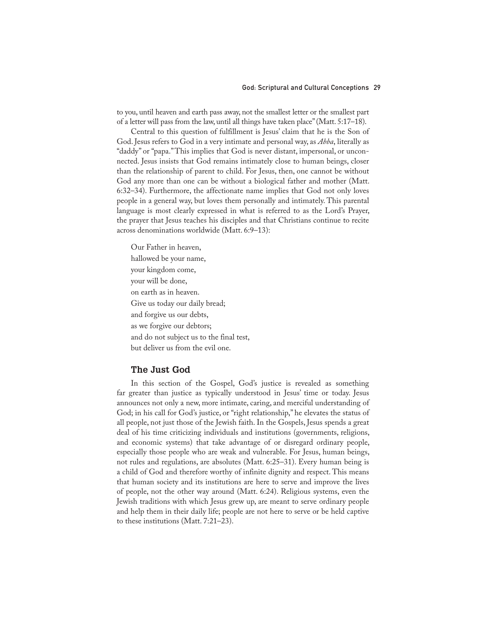to you, until heaven and earth pass away, not the smallest letter or the smallest part of a letter will pass from the law, until all things have taken place" (Matt. 5:17–18).

Central to this question of fulfillment is Jesus' claim that he is the Son of God. Jesus refers to God in a very intimate and personal way, as *Abba*, literally as "daddy" or "papa." This implies that God is never distant, impersonal, or unconnected. Jesus insists that God remains intimately close to human beings, closer than the relationship of parent to child. For Jesus, then, one cannot be without God any more than one can be without a biological father and mother (Matt. 6:32–34). Furthermore, the affectionate name implies that God not only loves people in a general way, but loves them personally and intimately. This parental language is most clearly expressed in what is referred to as the Lord's Prayer, the prayer that Jesus teaches his disciples and that Christians continue to recite across denominations worldwide (Matt. 6:9–13):

Our Father in heaven, hallowed be your name, your kingdom come, your will be done, on earth as in heaven. Give us today our daily bread; and forgive us our debts, as we forgive our debtors; and do not subject us to the final test, but deliver us from the evil one.

#### **The Just God**

In this section of the Gospel, God's justice is revealed as something far greater than justice as typically understood in Jesus' time or today. Jesus announces not only a new, more intimate, caring, and merciful understanding of God; in his call for God's justice, or "right relationship," he elevates the status of all people, not just those of the Jewish faith. In the Gospels, Jesus spends a great deal of his time criticizing individuals and institutions (governments, religions, and economic systems) that take advantage of or disregard ordinary people, especially those people who are weak and vulnerable. For Jesus, human beings, not rules and regulations, are absolutes (Matt. 6:25–31). Every human being is a child of God and therefore worthy of infinite dignity and respect. This means that human society and its institutions are here to serve and improve the lives of people, not the other way around (Matt. 6:24). Religious systems, even the Jewish traditions with which Jesus grew up, are meant to serve ordinary people and help them in their daily life; people are not here to serve or be held captive to these institutions (Matt. 7:21–23).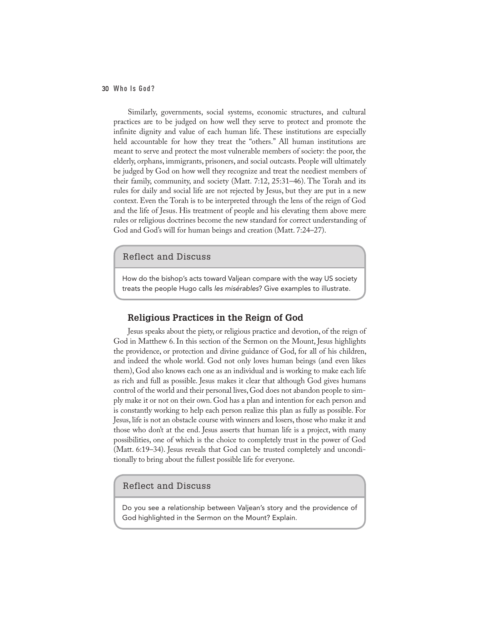Similarly, governments, social systems, economic structures, and cultural practices are to be judged on how well they serve to protect and promote the infinite dignity and value of each human life. These institutions are especially held accountable for how they treat the "others." All human institutions are meant to serve and protect the most vulnerable members of society: the poor, the elderly, orphans, immigrants, prisoners, and social outcasts. People will ultimately be judged by God on how well they recognize and treat the neediest members of their family, community, and society (Matt. 7:12, 25:31–46). The Torah and its rules for daily and social life are not rejected by Jesus, but they are put in a new context. Even the Torah is to be interpreted through the lens of the reign of God and the life of Jesus. His treatment of people and his elevating them above mere rules or religious doctrines become the new standard for correct understanding of God and God's will for human beings and creation (Matt. 7:24–27).

#### Reflect and Discuss

How do the bishop's acts toward Valjean compare with the way US society treats the people Hugo calls *les misérables*? Give examples to illustrate.

#### **Religious Practices in the Reign of God**

Jesus speaks about the piety, or religious practice and devotion, of the reign of God in Matthew 6. In this section of the Sermon on the Mount, Jesus highlights the providence, or protection and divine guidance of God, for all of his children, and indeed the whole world. God not only loves human beings (and even likes them), God also knows each one as an individual and is working to make each life as rich and full as possible. Jesus makes it clear that although God gives humans control of the world and their personal lives, God does not abandon people to simply make it or not on their own. God has a plan and intention for each person and is constantly working to help each person realize this plan as fully as possible. For Jesus, life is not an obstacle course with winners and losers, those who make it and those who don't at the end. Jesus asserts that human life is a project, with many possibilities, one of which is the choice to completely trust in the power of God (Matt. 6:19–34). Jesus reveals that God can be trusted completely and unconditionally to bring about the fullest possible life for everyone.

## Reflect and Discuss

Do you see a relationship between Valjean's story and the providence of God highlighted in the Sermon on the Mount? Explain.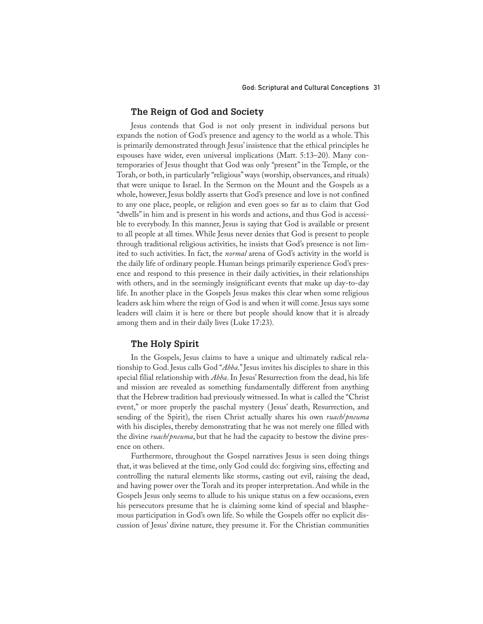#### **The Reign of God and Society**

Jesus contends that God is not only present in individual persons but expands the notion of God's presence and agency to the world as a whole. This is primarily demonstrated through Jesus' insistence that the ethical principles he espouses have wider, even universal implications (Matt. 5:13–20). Many contemporaries of Jesus thought that God was only "present" in the Temple, or the Torah, or both, in particularly "religious" ways (worship, observances, and rituals) that were unique to Israel. In the Sermon on the Mount and the Gospels as a whole, however, Jesus boldly asserts that God's presence and love is not confined to any one place, people, or religion and even goes so far as to claim that God "dwells" in him and is present in his words and actions, and thus God is accessible to everybody. In this manner, Jesus is saying that God is available or present to all people at all times. While Jesus never denies that God is present to people through traditional religious activities, he insists that God's presence is not limited to such activities. In fact, the *normal* arena of God's activity in the world is the daily life of ordinary people. Human beings primarily experience God's presence and respond to this presence in their daily activities, in their relationships with others, and in the seemingly insignificant events that make up day-to-day life. In another place in the Gospels Jesus makes this clear when some religious leaders ask him where the reign of God is and when it will come. Jesus says some leaders will claim it is here or there but people should know that it is already among them and in their daily lives (Luke 17:23).

#### **The Holy Spirit**

In the Gospels, Jesus claims to have a unique and ultimately radical relationship to God. Jesus calls God "*Abba*." Jesus invites his disciples to share in this special filial relationship with *Abba*. In Jesus' Resurrection from the dead, his life and mission are revealed as something fundamentally different from anything that the Hebrew tradition had previously witnessed. In what is called the "Christ event," or more properly the paschal mystery ( Jesus' death, Resurrection, and sending of the Spirit), the risen Christ actually shares his own *ruach*/*pneuma* with his disciples, thereby demonstrating that he was not merely one filled with the divine *ruach*/*pneuma*, but that he had the capacity to bestow the divine presence on others.

Furthermore, throughout the Gospel narratives Jesus is seen doing things that, it was believed at the time, only God could do: forgiving sins, effecting and controlling the natural elements like storms, casting out evil, raising the dead, and having power over the Torah and its proper interpretation. And while in the Gospels Jesus only seems to allude to his unique status on a few occasions, even his persecutors presume that he is claiming some kind of special and blasphemous participation in God's own life. So while the Gospels offer no explicit discussion of Jesus' divine nature, they presume it. For the Christian communities